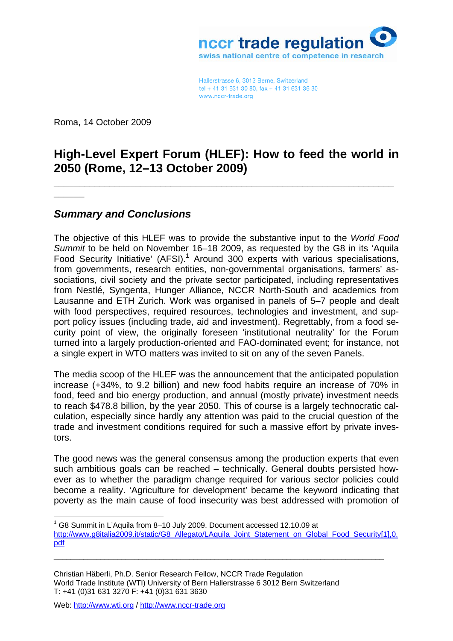

Hallerstrasse 6, 3012 Berne, Switzerland tel + 41 31 631 30 80, fax + 41 31 631 36 30 www.nccr-trade.org

Roma, 14 October 2009

**\_\_\_\_\_\_** 

1

## **High-Level Expert Forum (HLEF): How to feed the world in 2050 (Rome, 12–13 October 2009)**

**\_\_\_\_\_\_\_\_\_\_\_\_\_\_\_\_\_\_\_\_\_\_\_\_\_\_\_\_\_\_\_\_\_\_\_\_\_\_\_\_\_\_\_\_\_\_\_\_\_\_\_\_\_\_\_\_\_\_\_\_\_\_\_\_\_\_\_**

## *Summary and Conclusions*

The objective of this HLEF was to provide the substantive input to the *World Food Summit* to be held on November 16–18 2009, as requested by the G8 in its 'Aquila Food Security Initiative' (AFSI).<sup>1</sup> Around 300 experts with various specialisations, from governments, research entities, non-governmental organisations, farmers' associations, civil society and the private sector participated, including representatives from Nestlé, Syngenta, Hunger Alliance, NCCR North-South and academics from Lausanne and ETH Zurich. Work was organised in panels of 5–7 people and dealt with food perspectives, required resources, technologies and investment, and support policy issues (including trade, aid and investment). Regrettably, from a food security point of view, the originally foreseen 'institutional neutrality' for the Forum turned into a largely production-oriented and FAO-dominated event; for instance, not a single expert in WTO matters was invited to sit on any of the seven Panels.

The media scoop of the HLEF was the announcement that the anticipated population increase (+34%, to 9.2 billion) and new food habits require an increase of 70% in food, feed and bio energy production, and annual (mostly private) investment needs to reach \$478.8 billion, by the year 2050. This of course is a largely technocratic calculation, especially since hardly any attention was paid to the crucial question of the trade and investment conditions required for such a massive effort by private investors.

The good news was the general consensus among the production experts that even such ambitious goals can be reached – technically. General doubts persisted however as to whether the paradigm change required for various sector policies could become a reality. 'Agriculture for development' became the keyword indicating that poverty as the main cause of food insecurity was best addressed with promotion of

\_\_\_\_\_\_\_\_\_\_\_\_\_\_\_\_\_\_\_\_\_\_\_\_\_\_\_\_\_\_\_\_\_\_\_\_\_\_\_\_\_\_\_\_\_\_\_\_\_\_\_\_\_\_\_\_\_\_\_\_\_\_\_\_\_\_\_\_\_\_\_\_\_\_\_\_\_\_

Christian Häberli, Ph.D. Senior Research Fellow, NCCR Trade Regulation World Trade Institute (WTI) University of Bern Hallerstrasse 6 3012 Bern Switzerland T: +41 (0)31 631 3270 F: +41 (0)31 631 3630

Web: http://www.wti.org / http://www.nccr-trade.org

<sup>&</sup>lt;sup>1</sup> G8 Summit in L'Aquila from 8-10 July 2009. Document accessed 12.10.09 at http://www.g8italia2009.it/static/G8\_Allegato/LAquila\_Joint\_Statement\_on\_Global\_Food\_Security[1],0. pdf